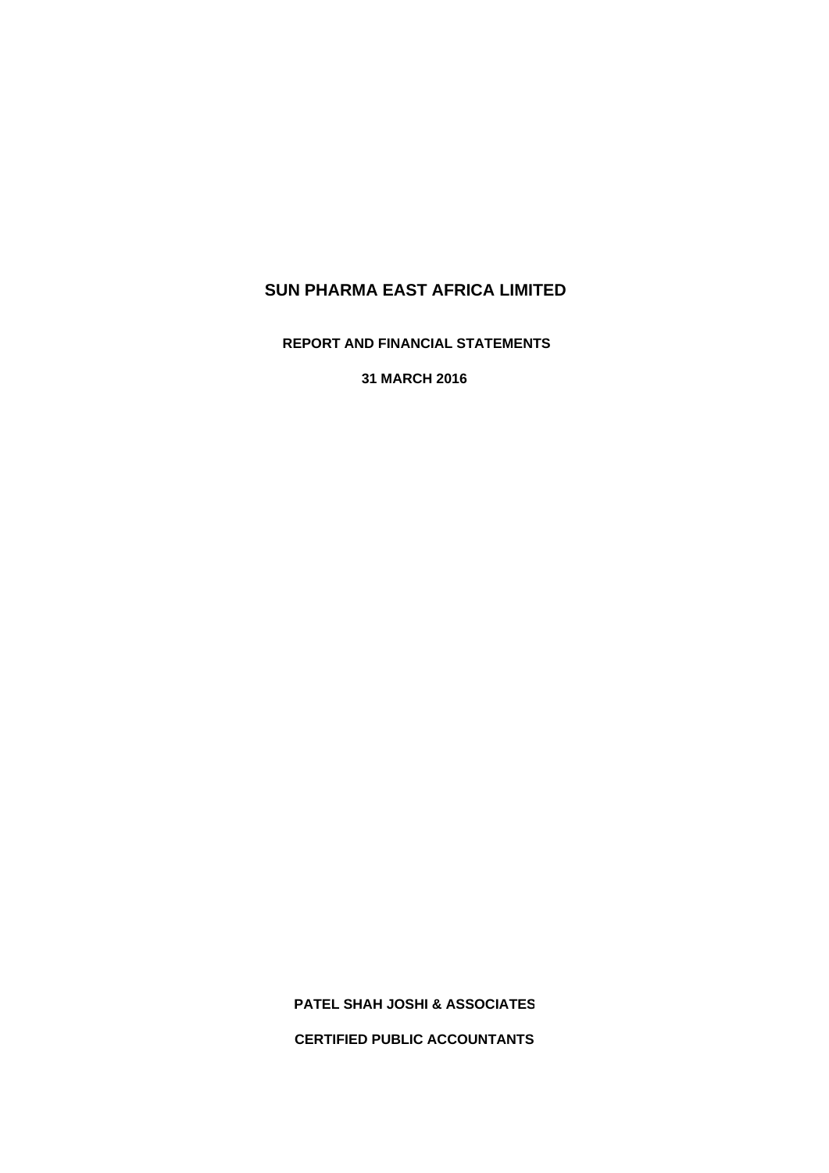**REPORT AND FINANCIAL STATEMENTS**

**31 MARCH 2016**

**PATEL SHAH JOSHI & ASSOCIATES**

**CERTIFIED PUBLIC ACCOUNTANTS**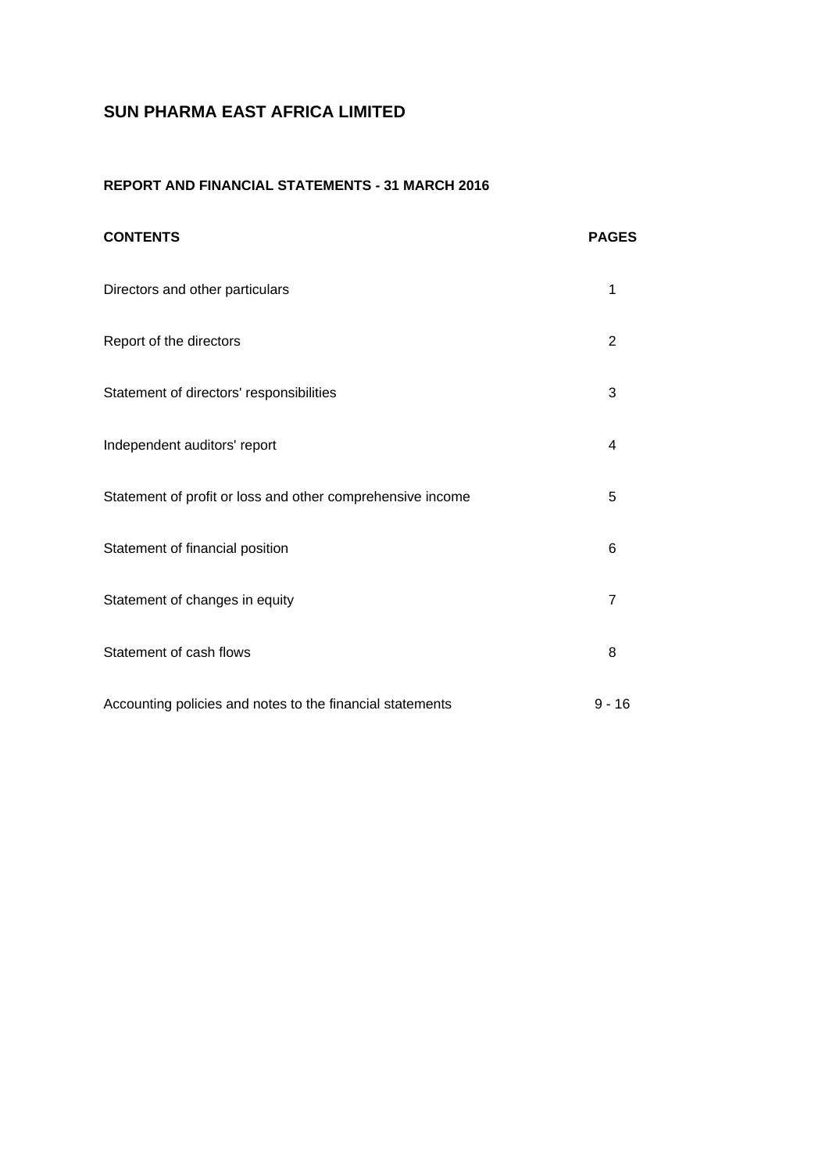# **REPORT AND FINANCIAL STATEMENTS - 31 MARCH 2016**

| <b>CONTENTS</b>                                            | <b>PAGES</b>   |
|------------------------------------------------------------|----------------|
| Directors and other particulars                            | 1              |
| Report of the directors                                    | 2              |
| Statement of directors' responsibilities                   | 3              |
| Independent auditors' report                               | 4              |
| Statement of profit or loss and other comprehensive income | 5              |
| Statement of financial position                            | 6              |
| Statement of changes in equity                             | $\overline{7}$ |
| Statement of cash flows                                    | 8              |
| Accounting policies and notes to the financial statements  | $9 - 16$       |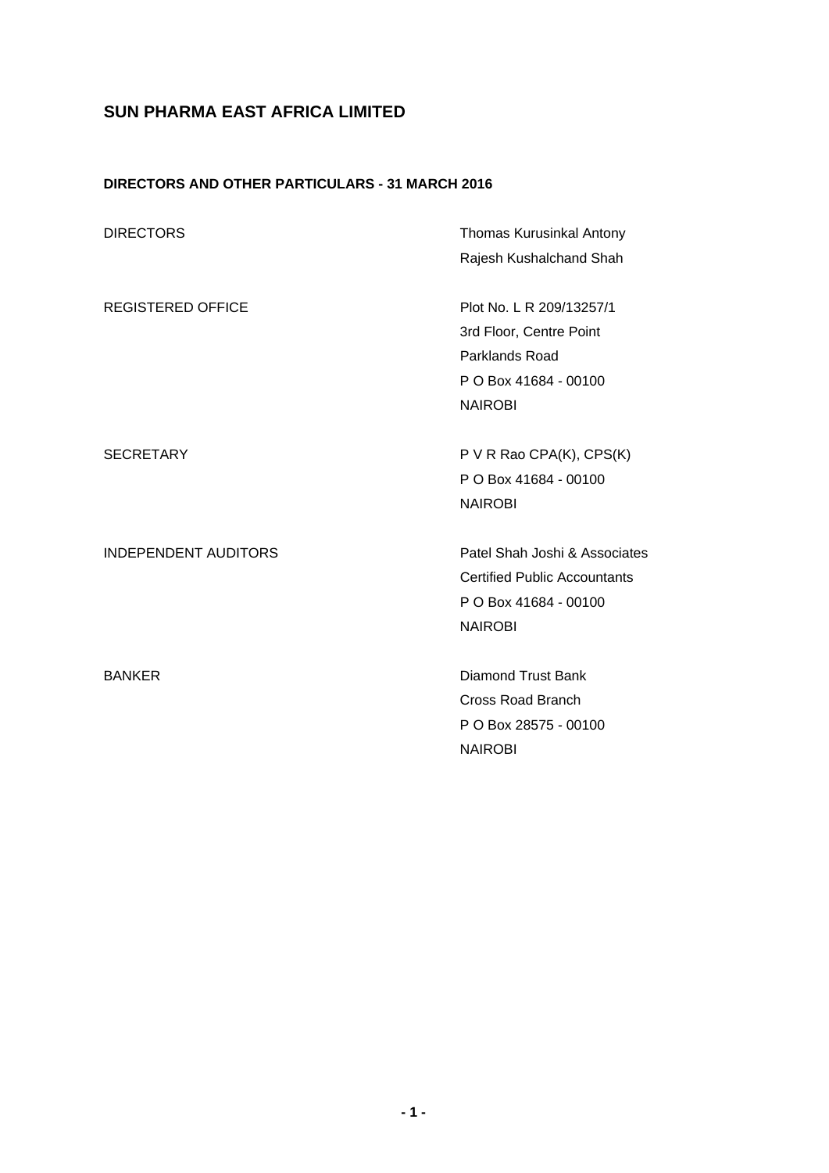# **DIRECTORS AND OTHER PARTICULARS - 31 MARCH 2016**

| <b>DIRECTORS</b>            | <b>Thomas Kurusinkal Antony</b>                                                                                  |
|-----------------------------|------------------------------------------------------------------------------------------------------------------|
|                             | Rajesh Kushalchand Shah                                                                                          |
| <b>REGISTERED OFFICE</b>    | Plot No. L R 209/13257/1<br>3rd Floor, Centre Point<br>Parklands Road<br>P O Box 41684 - 00100<br><b>NAIROBI</b> |
| <b>SECRETARY</b>            | P V R Rao CPA(K), CPS(K)<br>P O Box 41684 - 00100<br><b>NAIROBI</b>                                              |
| <b>INDEPENDENT AUDITORS</b> | Patel Shah Joshi & Associates<br><b>Certified Public Accountants</b><br>P O Box 41684 - 00100<br><b>NAIROBI</b>  |
| <b>BANKER</b>               | <b>Diamond Trust Bank</b><br><b>Cross Road Branch</b><br>P O Box 28575 - 00100<br><b>NAIROBI</b>                 |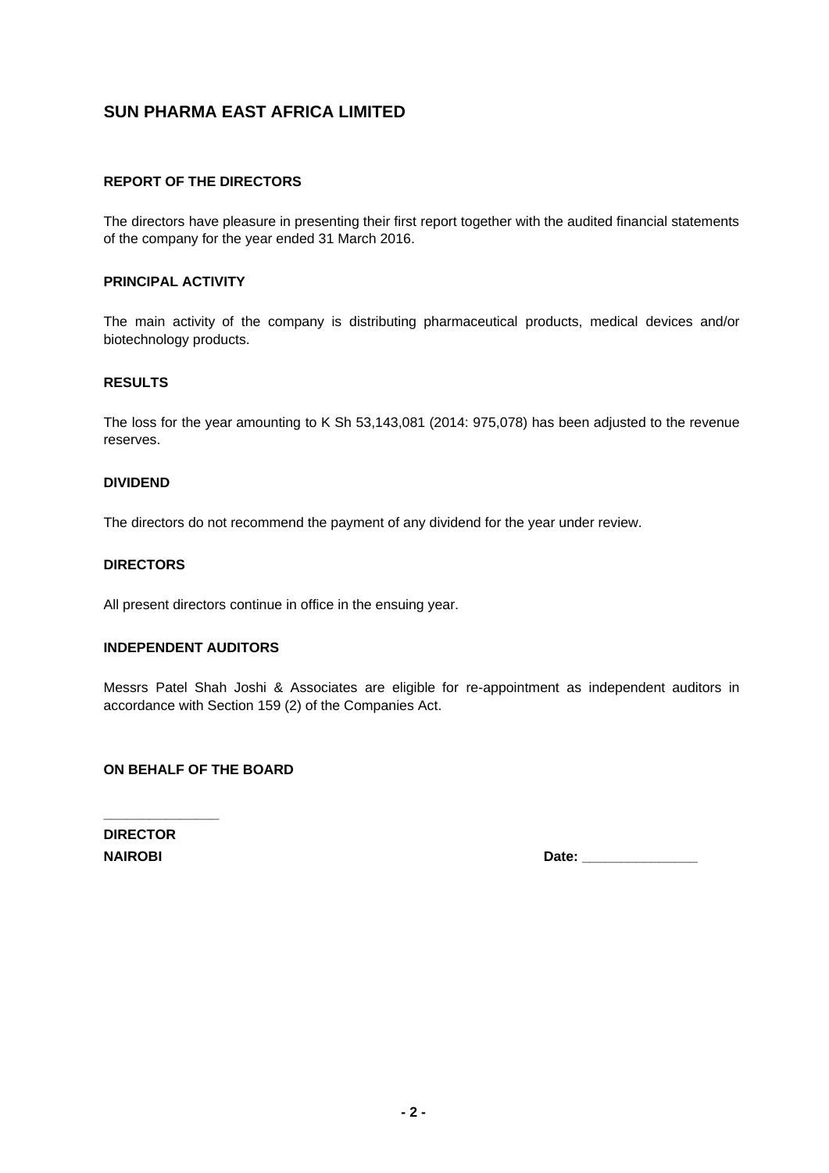# **REPORT OF THE DIRECTORS**

The directors have pleasure in presenting their first report together with the audited financial statements of the company for the year ended 31 March 2016.

## **PRINCIPAL ACTIVITY**

The main activity of the company is distributing pharmaceutical products, medical devices and/or biotechnology products.

#### **RESULTS**

The loss for the year amounting to K Sh 53,143,081 (2014: 975,078) has been adjusted to the revenue reserves.

#### **DIVIDEND**

The directors do not recommend the payment of any dividend for the year under review.

#### **DIRECTORS**

All present directors continue in office in the ensuing year.

## **INDEPENDENT AUDITORS**

Messrs Patel Shah Joshi & Associates are eligible for re-appointment as independent auditors in accordance with Section 159 (2) of the Companies Act.

## **ON BEHALF OF THE BOARD**

**DIRECTOR**

**\_\_\_\_\_\_\_\_\_\_\_\_\_\_\_**

**NAIROBI Date: \_\_\_\_\_\_\_\_\_\_\_\_\_\_\_**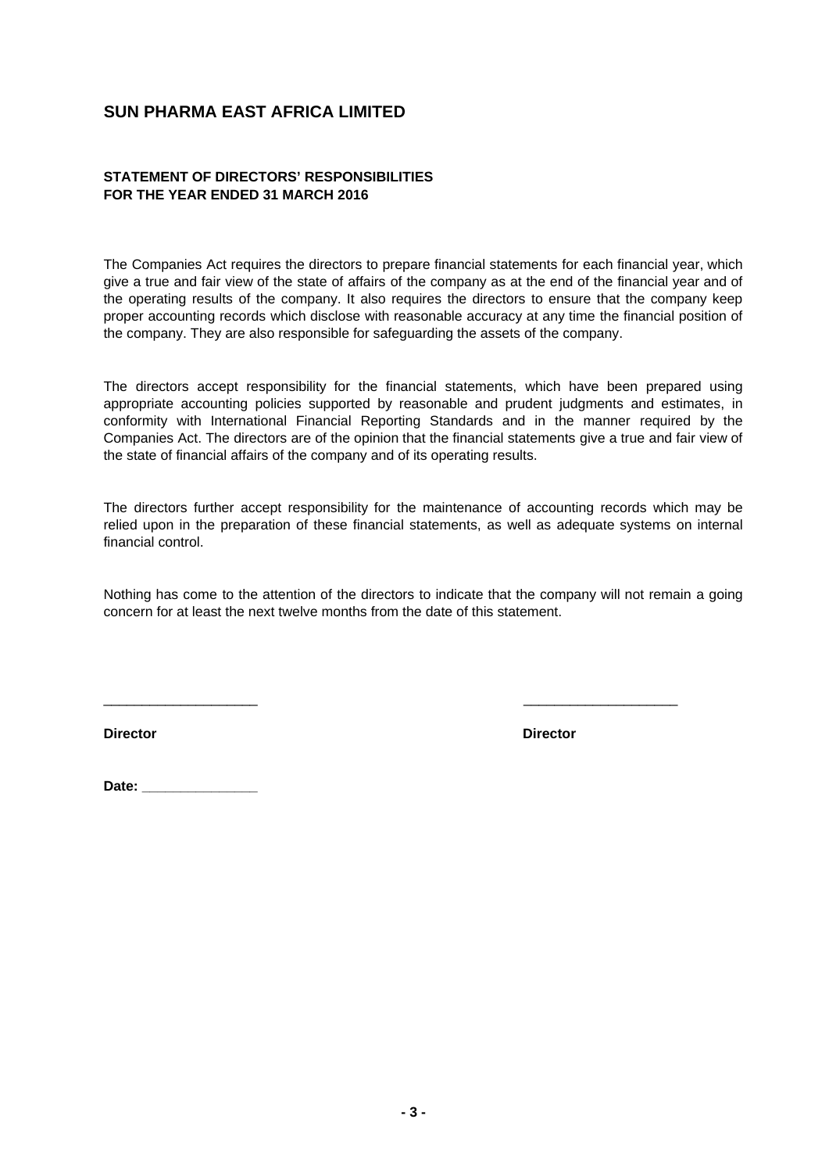# **STATEMENT OF DIRECTORS' RESPONSIBILITIES FOR THE YEAR ENDED 31 MARCH 2016**

The Companies Act requires the directors to prepare financial statements for each financial year, which give a true and fair view of the state of affairs of the company as at the end of the financial year and of the operating results of the company. It also requires the directors to ensure that the company keep proper accounting records which disclose with reasonable accuracy at any time the financial position of the company. They are also responsible for safeguarding the assets of the company.

The directors accept responsibility for the financial statements, which have been prepared using appropriate accounting policies supported by reasonable and prudent judgments and estimates, in conformity with International Financial Reporting Standards and in the manner required by the Companies Act. The directors are of the opinion that the financial statements give a true and fair view of the state of financial affairs of the company and of its operating results.

The directors further accept responsibility for the maintenance of accounting records which may be relied upon in the preparation of these financial statements, as well as adequate systems on internal financial control.

Nothing has come to the attention of the directors to indicate that the company will not remain a going concern for at least the next twelve months from the date of this statement.

\_\_\_\_\_\_\_\_\_\_\_\_\_\_\_\_\_\_\_\_ \_\_\_\_\_\_\_\_\_\_\_\_\_\_\_\_\_\_\_\_

**Director Director** 

Date: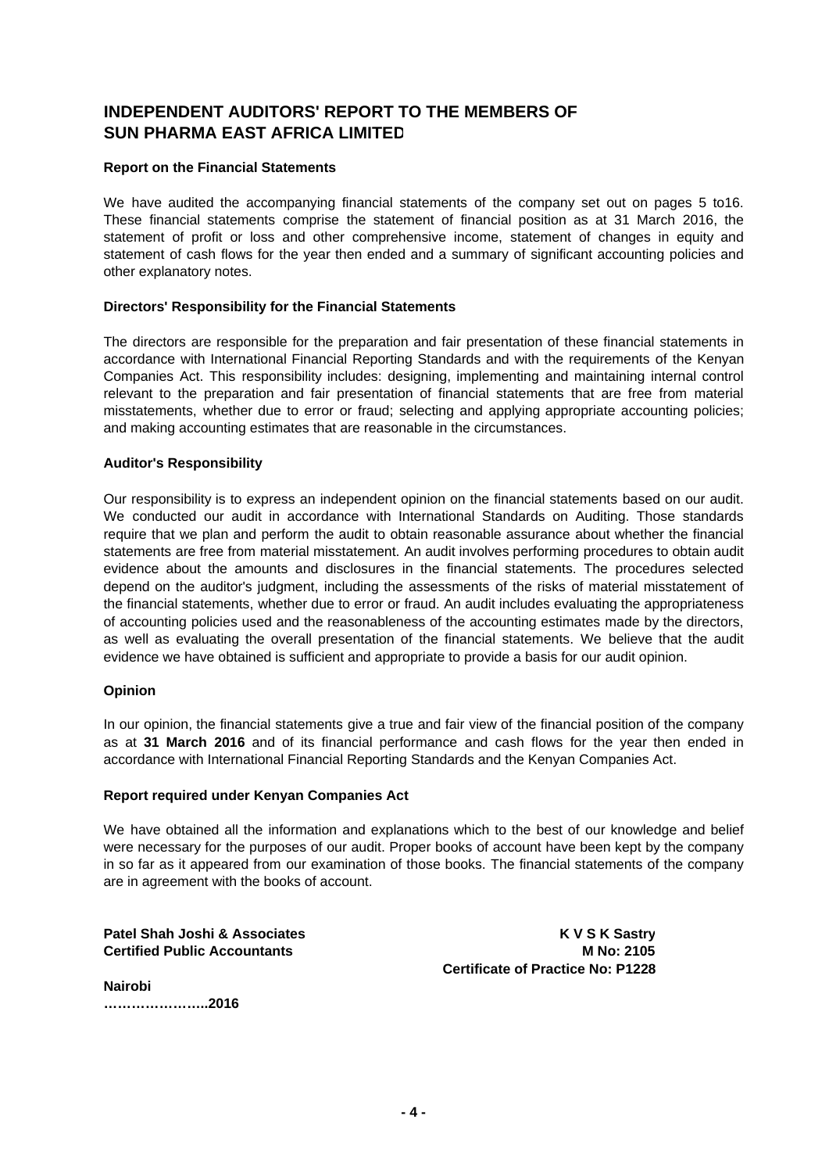# **INDEPENDENT AUDITORS' REPORT TO THE MEMBERS OF SUN PHARMA EAST AFRICA LIMITED**

## **Report on the Financial Statements**

We have audited the accompanying financial statements of the company set out on pages 5 to16. These financial statements comprise the statement of financial position as at 31 March 2016, the statement of profit or loss and other comprehensive income, statement of changes in equity and statement of cash flows for the year then ended and a summary of significant accounting policies and other explanatory notes.

#### **Directors' Responsibility for the Financial Statements**

The directors are responsible for the preparation and fair presentation of these financial statements in accordance with International Financial Reporting Standards and with the requirements of the Kenyan Companies Act. This responsibility includes: designing, implementing and maintaining internal control relevant to the preparation and fair presentation of financial statements that are free from material misstatements, whether due to error or fraud; selecting and applying appropriate accounting policies; and making accounting estimates that are reasonable in the circumstances.

#### **Auditor's Responsibility**

Our responsibility is to express an independent opinion on the financial statements based on our audit. We conducted our audit in accordance with International Standards on Auditing. Those standards require that we plan and perform the audit to obtain reasonable assurance about whether the financial statements are free from material misstatement. An audit involves performing procedures to obtain audit evidence about the amounts and disclosures in the financial statements. The procedures selected depend on the auditor's judgment, including the assessments of the risks of material misstatement of the financial statements, whether due to error or fraud. An audit includes evaluating the appropriateness of accounting policies used and the reasonableness of the accounting estimates made by the directors, as well as evaluating the overall presentation of the financial statements. We believe that the audit evidence we have obtained is sufficient and appropriate to provide a basis for our audit opinion.

#### **Opinion**

In our opinion, the financial statements give a true and fair view of the financial position of the company as at **31 March 2016** and of its financial performance and cash flows for the year then ended in accordance with International Financial Reporting Standards and the Kenyan Companies Act.

#### **Report required under Kenyan Companies Act**

We have obtained all the information and explanations which to the best of our knowledge and belief were necessary for the purposes of our audit. Proper books of account have been kept by the company in so far as it appeared from our examination of those books. The financial statements of the company are in agreement with the books of account.

**Patel Shah Joshi & Associates Material Shah Joshi & Associates Material Shah K V S K Sastry Certified Public Accountants M No: 2105 Certificate of Practice No: P1228**

**Nairobi …………………..2016**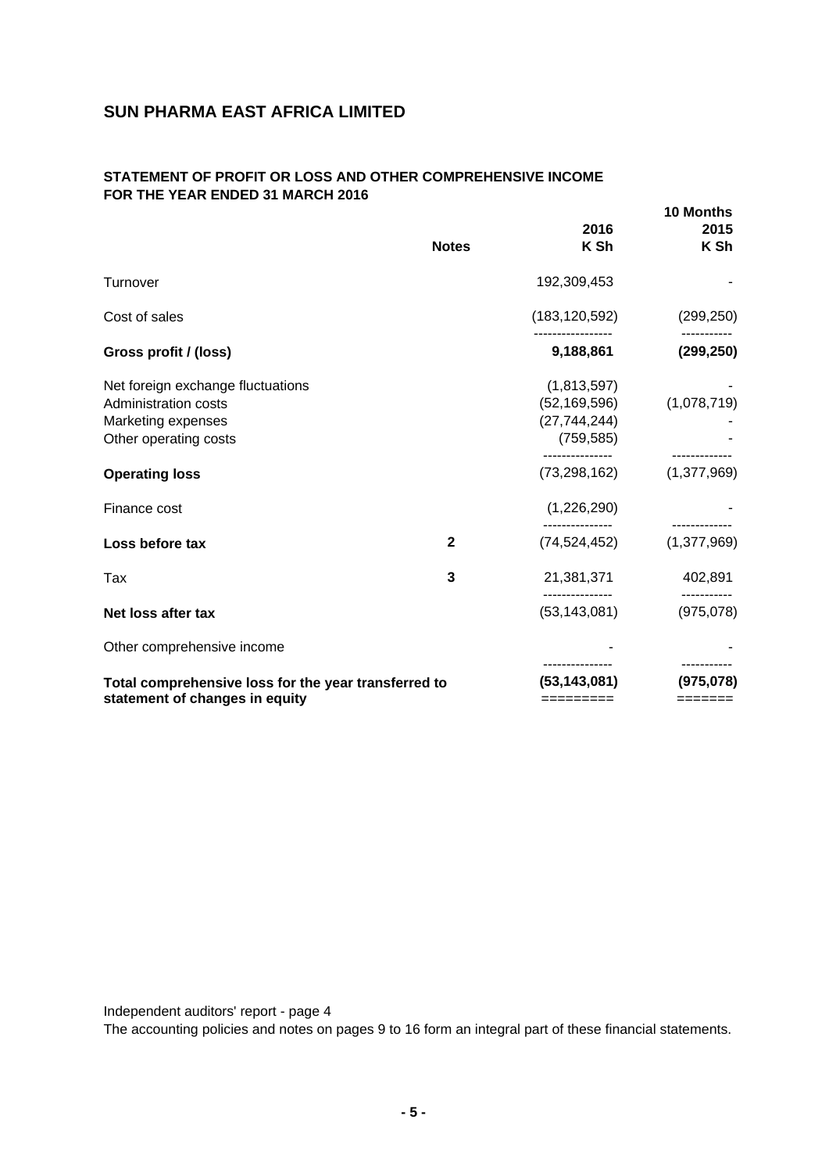# **STATEMENT OF PROFIT OR LOSS AND OTHER COMPREHENSIVE INCOME FOR THE YEAR ENDED 31 MARCH 2016**

|                                                                                                          | <b>Notes</b> | 2016<br>K Sh                                                  | 10 Months<br>2015<br>K Sh             |
|----------------------------------------------------------------------------------------------------------|--------------|---------------------------------------------------------------|---------------------------------------|
| Turnover                                                                                                 |              | 192,309,453                                                   |                                       |
| Cost of sales                                                                                            |              | (183,120,592)                                                 | (299, 250)                            |
| Gross profit / (loss)                                                                                    |              | 9,188,861                                                     | (299, 250)                            |
| Net foreign exchange fluctuations<br>Administration costs<br>Marketing expenses<br>Other operating costs |              | (1,813,597)<br>(52, 169, 596)<br>(27, 744, 244)<br>(759, 585) | (1,078,719)                           |
| <b>Operating loss</b>                                                                                    |              | (73, 298, 162)                                                | (1,377,969)                           |
| Finance cost                                                                                             |              | (1,226,290)                                                   |                                       |
| Loss before tax                                                                                          | $\mathbf{2}$ | (74, 524, 452)                                                | (1, 377, 969)                         |
| Tax                                                                                                      | 3            | 21,381,371                                                    | 402,891                               |
| Net loss after tax                                                                                       |              | (53, 143, 081)                                                | (975, 078)                            |
| Other comprehensive income                                                                               |              |                                                               |                                       |
| Total comprehensive loss for the year transferred to<br>statement of changes in equity                   |              | (53, 143, 081)<br>=========                                   | (975, 078)<br>$=$ $=$ $=$ $=$ $=$ $=$ |

Independent auditors' report - page 4

The accounting policies and notes on pages 9 to 16 form an integral part of these financial statements.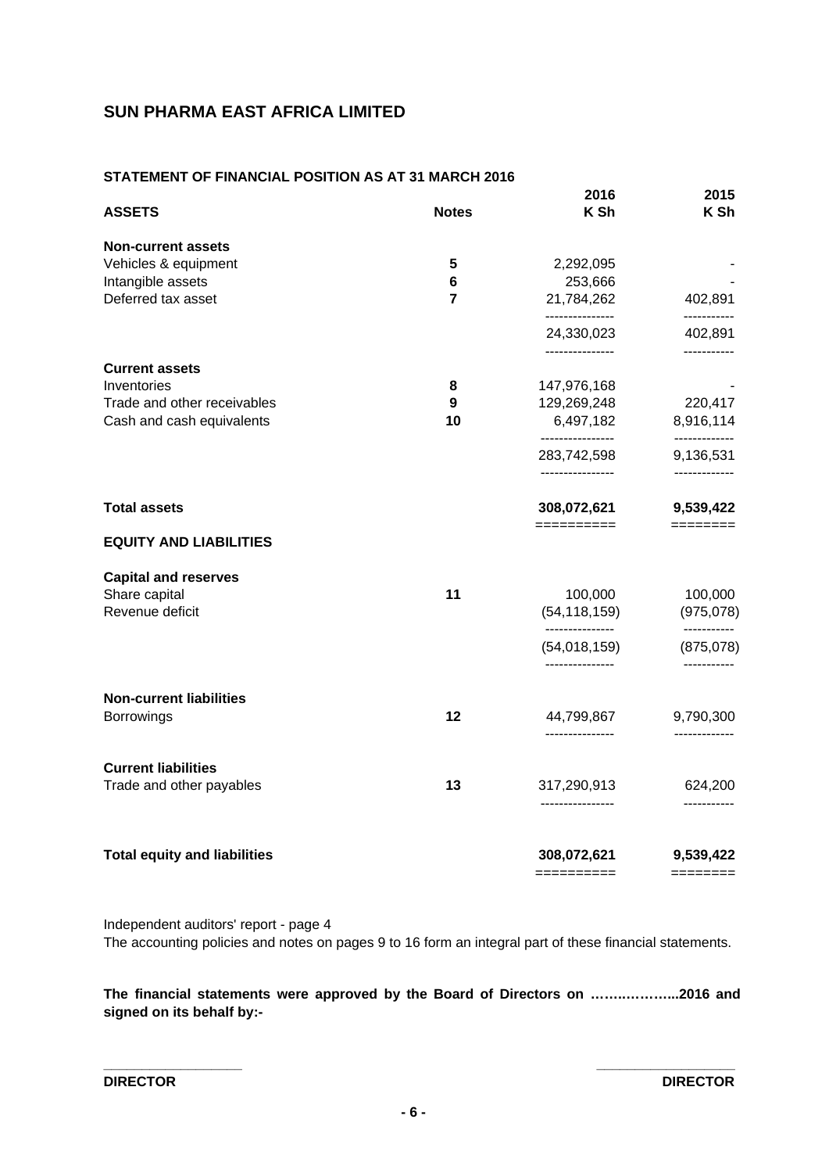# **STATEMENT OF FINANCIAL POSITION AS AT 31 MARCH 2016**

| 2,292,095<br>253,666<br>21,784,262<br>---------------<br>24,330,023<br>---------------<br>147,976,168 | 402,891<br>-----------<br>402,891<br>-----------                    |
|-------------------------------------------------------------------------------------------------------|---------------------------------------------------------------------|
|                                                                                                       |                                                                     |
|                                                                                                       |                                                                     |
|                                                                                                       |                                                                     |
|                                                                                                       |                                                                     |
|                                                                                                       |                                                                     |
|                                                                                                       |                                                                     |
|                                                                                                       |                                                                     |
|                                                                                                       |                                                                     |
| 129,269,248                                                                                           | 220,417                                                             |
| 6,497,182                                                                                             | 8,916,114                                                           |
| ----------------<br>283,742,598                                                                       | -----------<br>9,136,531                                            |
| ----------------                                                                                      | -------------                                                       |
| 308,072,621                                                                                           | 9,539,422<br>========                                               |
|                                                                                                       |                                                                     |
|                                                                                                       |                                                                     |
| 100,000                                                                                               | 100,000                                                             |
| (54, 118, 159)                                                                                        | (975, 078)                                                          |
| (54,018,159)                                                                                          | -----------<br>(875,078)                                            |
| ---------------                                                                                       | -----------                                                         |
|                                                                                                       |                                                                     |
| 44,799,867<br>---------------                                                                         | 9,790,300<br>-------------                                          |
|                                                                                                       |                                                                     |
| 317,290,913                                                                                           | 624,200                                                             |
|                                                                                                       | -----------                                                         |
| 308,072,621                                                                                           | 9,539,422                                                           |
|                                                                                                       | ==========<br>---------------<br>----------------<br>$=$ ========== |

Independent auditors' report - page 4 The accounting policies and notes on pages 9 to 16 form an integral part of these financial statements.

**The financial statements were approved by the Board of Directors on ……..………...2016 and signed on its behalf by:-**

**\_\_\_\_\_\_\_\_\_\_\_\_\_\_\_\_\_\_ \_\_\_\_\_\_\_\_\_\_\_\_\_\_\_\_\_\_**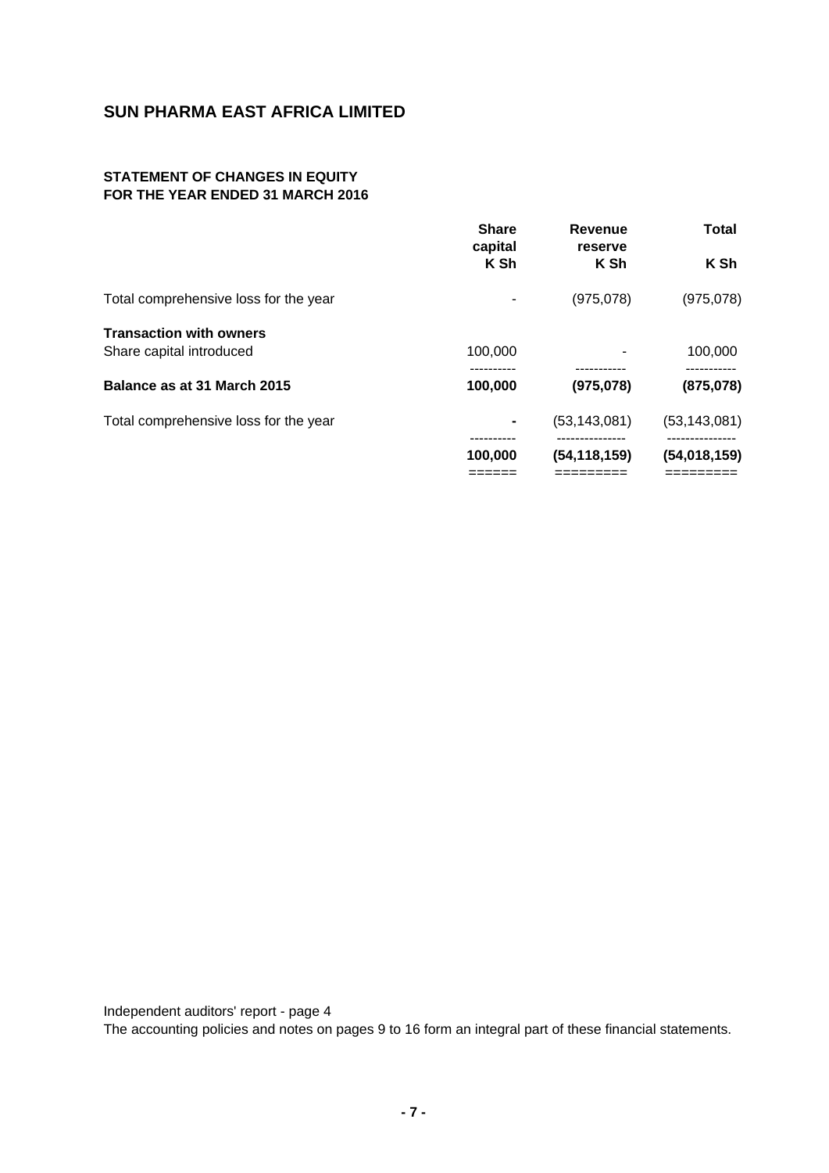# **STATEMENT OF CHANGES IN EQUITY FOR THE YEAR ENDED 31 MARCH 2016**

|                                       | <b>Share</b><br>capital | Revenue<br>reserve | <b>Total</b>   |
|---------------------------------------|-------------------------|--------------------|----------------|
|                                       | K Sh                    | K Sh               | K Sh           |
| Total comprehensive loss for the year |                         | (975,078)          | (975,078)      |
| <b>Transaction with owners</b>        |                         |                    |                |
| Share capital introduced              | 100,000                 |                    | 100,000        |
| Balance as at 31 March 2015           | 100,000                 | (975,078)          | (875,078)      |
| Total comprehensive loss for the year |                         | (53, 143, 081)     | (53, 143, 081) |
|                                       | 100,000                 | (54, 118, 159)     | (54, 018, 159) |
|                                       |                         |                    |                |

Independent auditors' report - page 4

The accounting policies and notes on pages 9 to 16 form an integral part of these financial statements.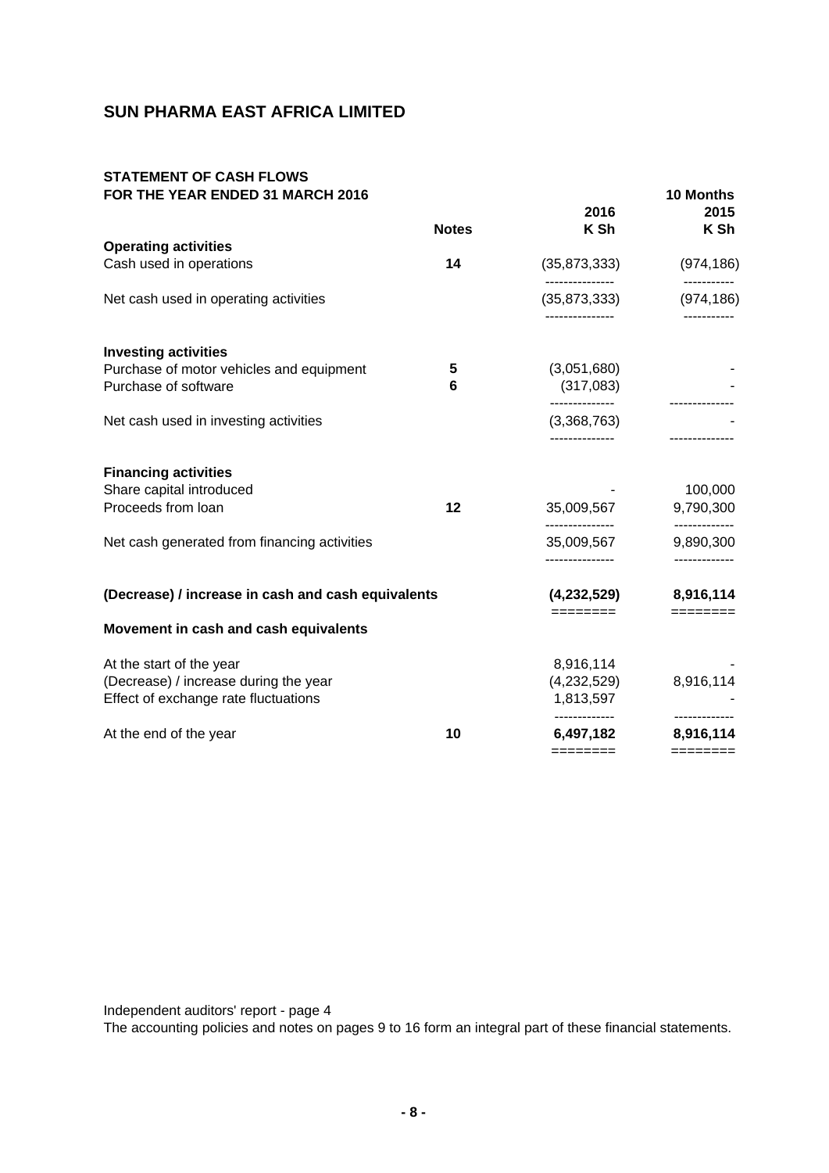## **STATEMENT OF CASH FLOWS FOR THE YEAR ENDED 31 MARCH 2016 10 Months**

|                                                                                                           | <b>Notes</b> | 2016<br>K Sh                          | 2015<br>K Sh               |
|-----------------------------------------------------------------------------------------------------------|--------------|---------------------------------------|----------------------------|
| <b>Operating activities</b>                                                                               |              |                                       |                            |
| Cash used in operations                                                                                   | 14           | (35, 873, 333)                        | (974, 186)                 |
| Net cash used in operating activities                                                                     |              | ---------------<br>(35, 873, 333)     | -----------<br>(974, 186)  |
| <b>Investing activities</b>                                                                               |              |                                       |                            |
| Purchase of motor vehicles and equipment<br>Purchase of software                                          | 5<br>6       | (3,051,680)<br>(317,083)              |                            |
| Net cash used in investing activities                                                                     |              | --------------<br>(3,368,763)         | -------------              |
| <b>Financing activities</b><br>Share capital introduced                                                   |              |                                       | 100,000                    |
| Proceeds from loan                                                                                        | 12           | 35,009,567<br>---------------         | 9,790,300<br>------------- |
| Net cash generated from financing activities                                                              |              | 35,009,567                            | 9,890,300                  |
| (Decrease) / increase in cash and cash equivalents                                                        |              | (4,232,529)                           | 8,916,114                  |
| Movement in cash and cash equivalents                                                                     |              | ========                              | $=$ =======                |
| At the start of the year<br>(Decrease) / increase during the year<br>Effect of exchange rate fluctuations |              | 8,916,114<br>(4,232,529)<br>1,813,597 | 8,916,114                  |
| At the end of the year                                                                                    | 10           | 6,497,182<br>========                 | 8,916,114<br>$=$ =======   |

Independent auditors' report - page 4

The accounting policies and notes on pages 9 to 16 form an integral part of these financial statements.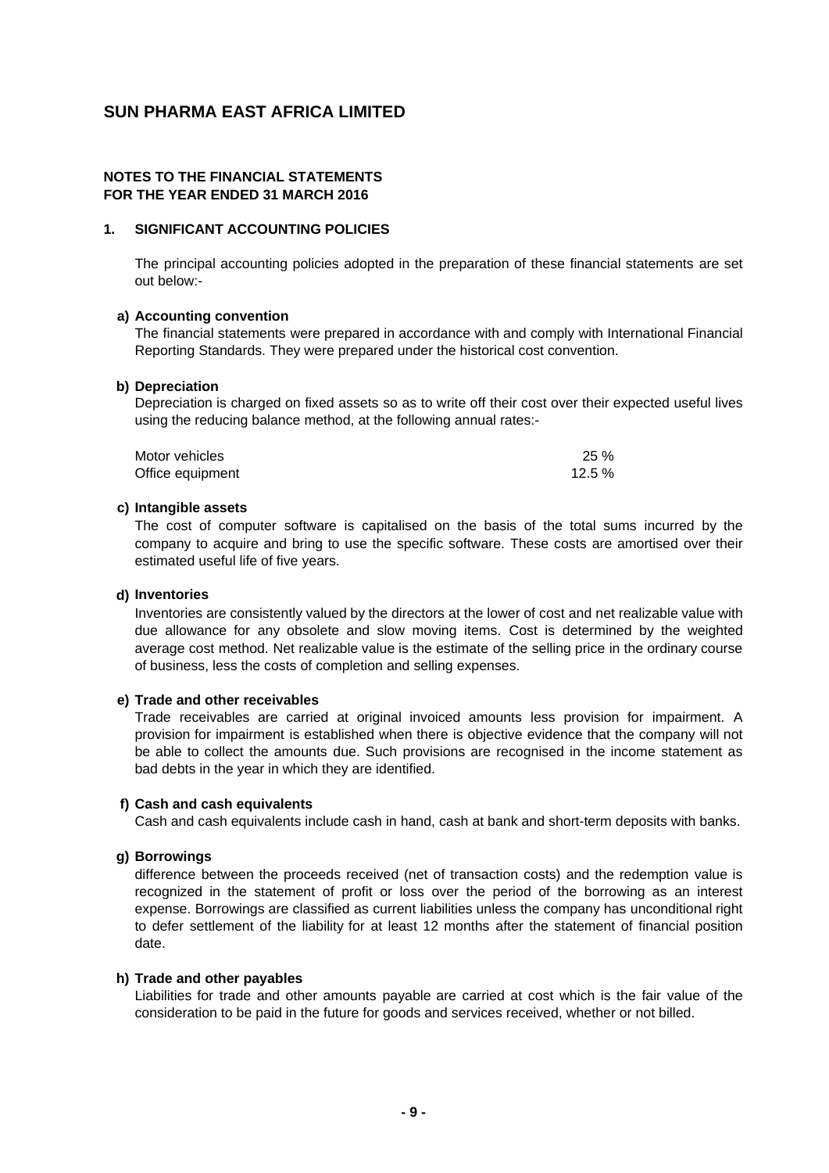## **NOTES TO THE FINANCIAL STATEMENTS FOR THE YEAR ENDED 31 MARCH 2016**

## **1. SIGNIFICANT ACCOUNTING POLICIES**

The principal accounting policies adopted in the preparation of these financial statements are set out below:-

#### **a) Accounting convention**

The financial statements were prepared in accordance with and comply with International Financial Reporting Standards. They were prepared under the historical cost convention.

#### **b) Depreciation**

Depreciation is charged on fixed assets so as to write off their cost over their expected useful lives using the reducing balance method, at the following annual rates:-

| Motor vehicles   | 25%      |
|------------------|----------|
| Office equipment | $12.5\%$ |

#### **c) Intangible assets**

The cost of computer software is capitalised on the basis of the total sums incurred by the company to acquire and bring to use the specific software. These costs are amortised over their estimated useful life of five years.

#### **d) Inventories**

Inventories are consistently valued by the directors at the lower of cost and net realizable value with due allowance for any obsolete and slow moving items. Cost is determined by the weighted average cost method. Net realizable value is the estimate of the selling price in the ordinary course of business, less the costs of completion and selling expenses.

## **e) Trade and other receivables**

Trade receivables are carried at original invoiced amounts less provision for impairment. A provision for impairment is established when there is objective evidence that the company will not be able to collect the amounts due. Such provisions are recognised in the income statement as bad debts in the year in which they are identified.

#### **f) Cash and cash equivalents**

Cash and cash equivalents include cash in hand, cash at bank and short-term deposits with banks.

#### **g) Borrowings**

difference between the proceeds received (net of transaction costs) and the redemption value is recognized in the statement of profit or loss over the period of the borrowing as an interest expense. Borrowings are classified as current liabilities unless the company has unconditional right to defer settlement of the liability for at least 12 months after the statement of financial position date.

#### **h) Trade and other payables**

Liabilities for trade and other amounts payable are carried at cost which is the fair value of the consideration to be paid in the future for goods and services received, whether or not billed.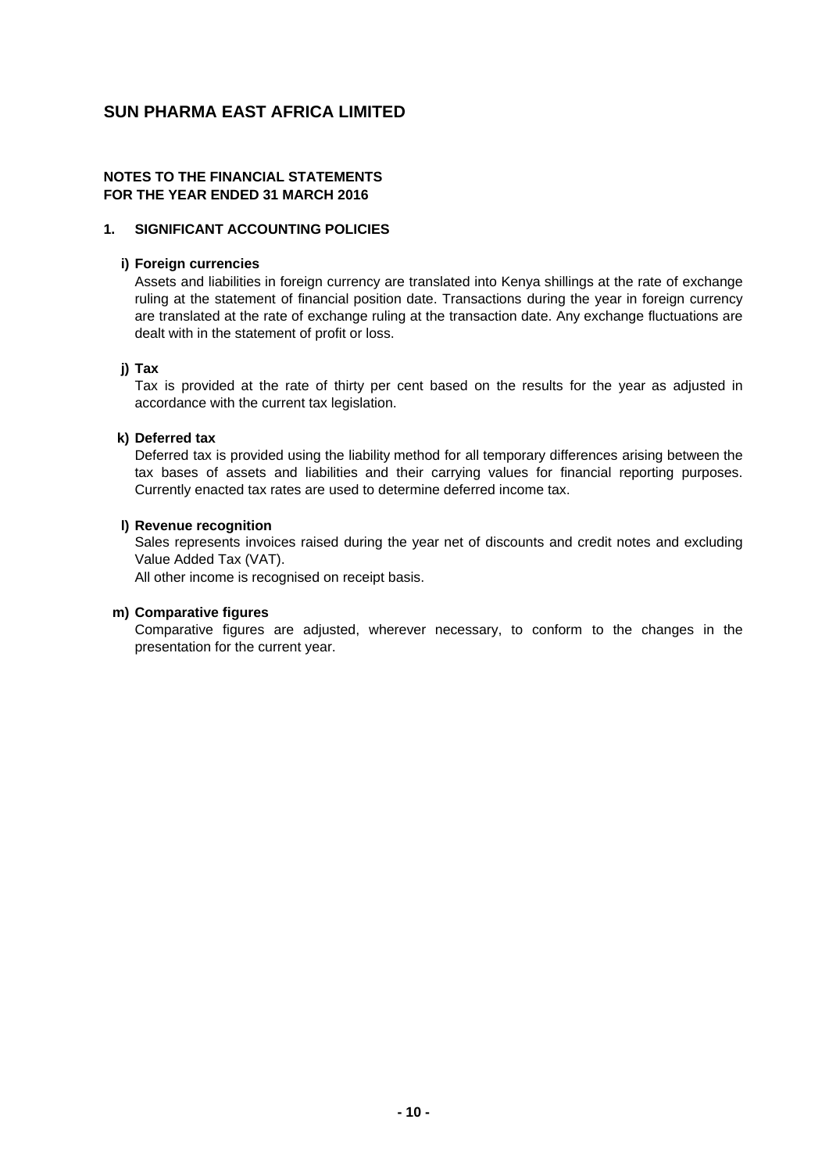## **NOTES TO THE FINANCIAL STATEMENTS FOR THE YEAR ENDED 31 MARCH 2016**

## **1. SIGNIFICANT ACCOUNTING POLICIES**

## **i) Foreign currencies**

Assets and liabilities in foreign currency are translated into Kenya shillings at the rate of exchange ruling at the statement of financial position date. Transactions during the year in foreign currency are translated at the rate of exchange ruling at the transaction date. Any exchange fluctuations are dealt with in the statement of profit or loss.

## **j) Tax**

Tax is provided at the rate of thirty per cent based on the results for the year as adjusted in accordance with the current tax legislation.

## **k) Deferred tax**

Deferred tax is provided using the liability method for all temporary differences arising between the tax bases of assets and liabilities and their carrying values for financial reporting purposes. Currently enacted tax rates are used to determine deferred income tax.

## **l) Revenue recognition**

Sales represents invoices raised during the year net of discounts and credit notes and excluding Value Added Tax (VAT).

All other income is recognised on receipt basis.

## **m) Comparative figures**

Comparative figures are adjusted, wherever necessary, to conform to the changes in the presentation for the current year.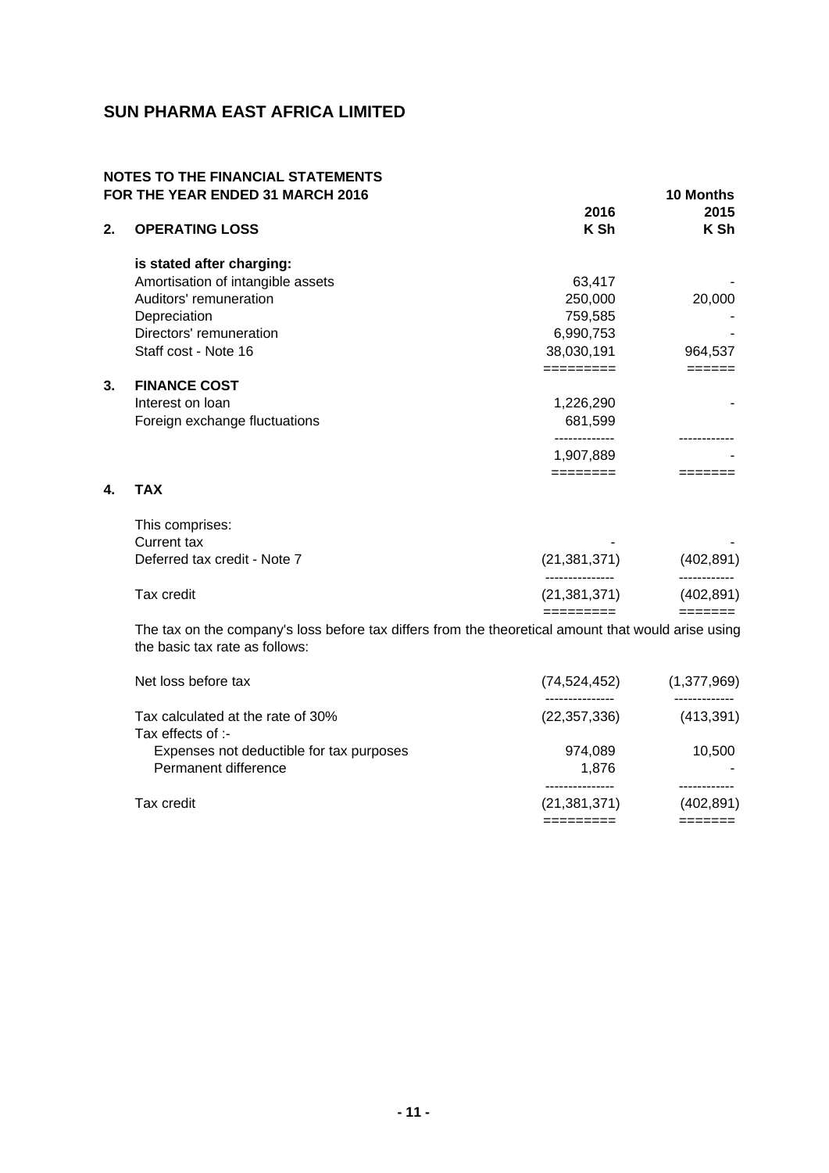## **NOTES TO THE FINANCIAL STATEMENTS FOR THE YEAR ENDED 31 MARCH 2016 10 Months**

| 2. | <b>OPERATING LOSS</b>             | 2016<br>K Sh | 2015<br>K Sh |
|----|-----------------------------------|--------------|--------------|
|    | is stated after charging:         |              |              |
|    | Amortisation of intangible assets | 63,417       |              |
|    | Auditors' remuneration            | 250,000      | 20,000       |
|    | Depreciation                      | 759,585      |              |
|    | Directors' remuneration           | 6,990,753    |              |
|    | Staff cost - Note 16              | 38,030,191   | 964,537      |
|    |                                   |              |              |
| 3. | <b>FINANCE COST</b>               |              |              |
|    | Interest on loan                  | 1,226,290    |              |
|    | Foreign exchange fluctuations     | 681,599      |              |
|    |                                   |              |              |
|    |                                   | 1,907,889    |              |
|    |                                   | --------     |              |

# **4. TAX**

| Tax credit                   | (21, 381, 371)           | (402, 891) |
|------------------------------|--------------------------|------------|
| Deferred tax credit - Note 7 | (21, 381, 371)           | (402, 891) |
| Current tax                  | $\overline{\phantom{a}}$ |            |
| This comprises:              |                          |            |

The tax on the company's loss before tax differs from the theoretical amount that would arise using the basic tax rate as follows:

| Tax credit                               | (21, 381, 371) | (402, 891)  |
|------------------------------------------|----------------|-------------|
|                                          |                |             |
| Permanent difference                     | 1.876          |             |
| Expenses not deductible for tax purposes | 974.089        | 10.500      |
| Tax effects of :-                        |                |             |
| Tax calculated at the rate of 30%        | (22, 357, 336) | (413, 391)  |
|                                          |                |             |
| Net loss before tax                      | (74, 524, 452) | (1,377,969) |
|                                          |                |             |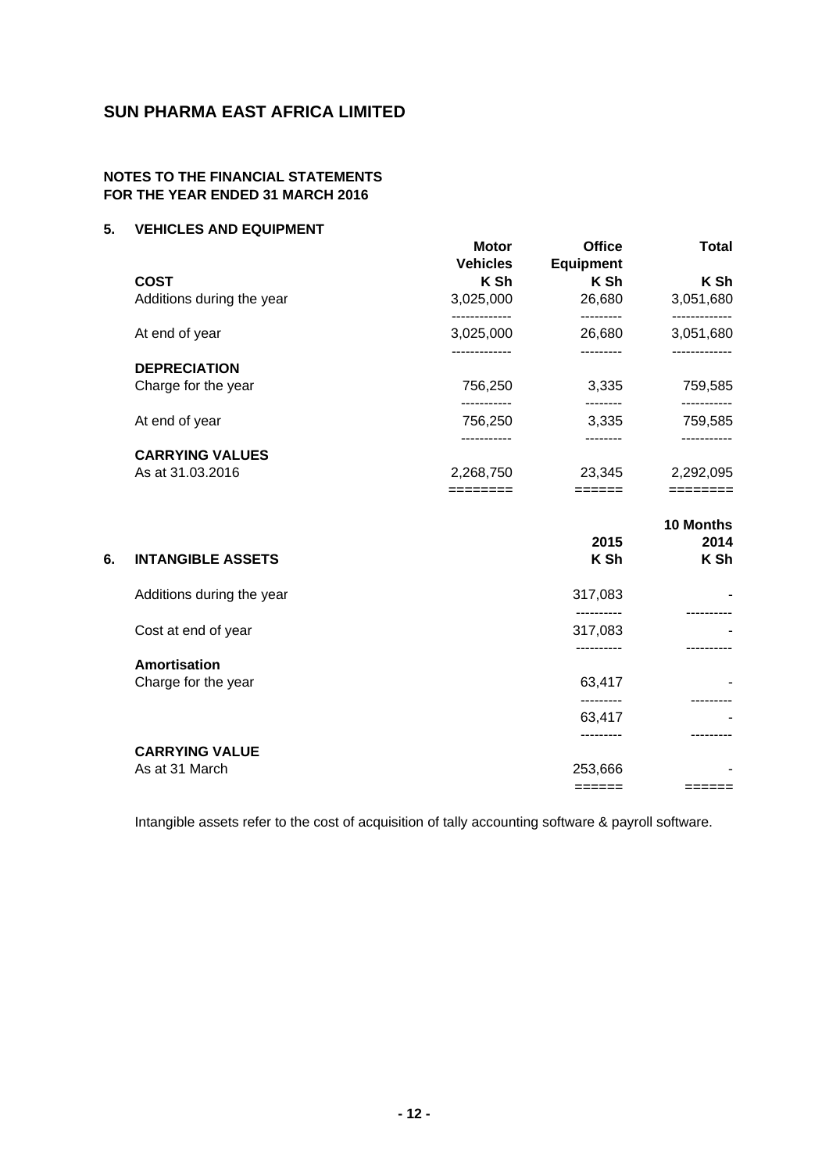## **NOTES TO THE FINANCIAL STATEMENTS FOR THE YEAR ENDED 31 MARCH 2016**

# **5. VEHICLES AND EQUIPMENT**

|    | <b>COST</b><br>Additions during the year | <b>Motor</b><br><b>Vehicles</b><br>K Sh<br>3,025,000 | <b>Office</b><br><b>Equipment</b><br>K Sh<br>26,680 | <b>Total</b><br>K Sh<br>3,051,680 |
|----|------------------------------------------|------------------------------------------------------|-----------------------------------------------------|-----------------------------------|
|    | At end of year                           | -------------<br>3,025,000                           | ---------<br>26,680                                 | -------------<br>3,051,680        |
|    | <b>DEPRECIATION</b>                      | -------------                                        |                                                     | -----------                       |
|    | Charge for the year                      | 756,250                                              | 3,335                                               | 759,585                           |
|    | At end of year                           | .<br>756,250                                         | --------<br>3,335                                   | -----------<br>759,585            |
|    |                                          |                                                      |                                                     |                                   |
|    | <b>CARRYING VALUES</b>                   |                                                      |                                                     |                                   |
|    | As at 31.03.2016                         | 2,268,750<br>$=$ $=$ $=$ $=$ $=$ $=$ $=$             | 23,345<br>$=$ $=$ $=$ $=$ $=$ $=$                   | 2,292,095<br>$=$ = = = = = = =    |
|    |                                          |                                                      |                                                     | 10 Months                         |
| 6. | <b>INTANGIBLE ASSETS</b>                 |                                                      | 2015<br>K Sh                                        | 2014<br>K Sh                      |
|    | Additions during the year                |                                                      | 317,083                                             |                                   |
|    | Cost at end of year                      |                                                      | ----------<br>317,083                               |                                   |
|    |                                          |                                                      | ----------                                          |                                   |
|    | <b>Amortisation</b>                      |                                                      |                                                     |                                   |
|    | Charge for the year                      |                                                      | 63,417                                              |                                   |
|    |                                          |                                                      | ---------                                           |                                   |
|    |                                          |                                                      | 63,417                                              |                                   |
|    | <b>CARRYING VALUE</b>                    |                                                      |                                                     |                                   |
|    | As at 31 March                           |                                                      | 253,666                                             |                                   |
|    |                                          |                                                      | $=$ $=$ $=$ $=$ $=$ $=$                             | $=$ $=$ $=$ $=$ $=$ $=$ $=$       |
|    |                                          |                                                      |                                                     |                                   |

Intangible assets refer to the cost of acquisition of tally accounting software & payroll software.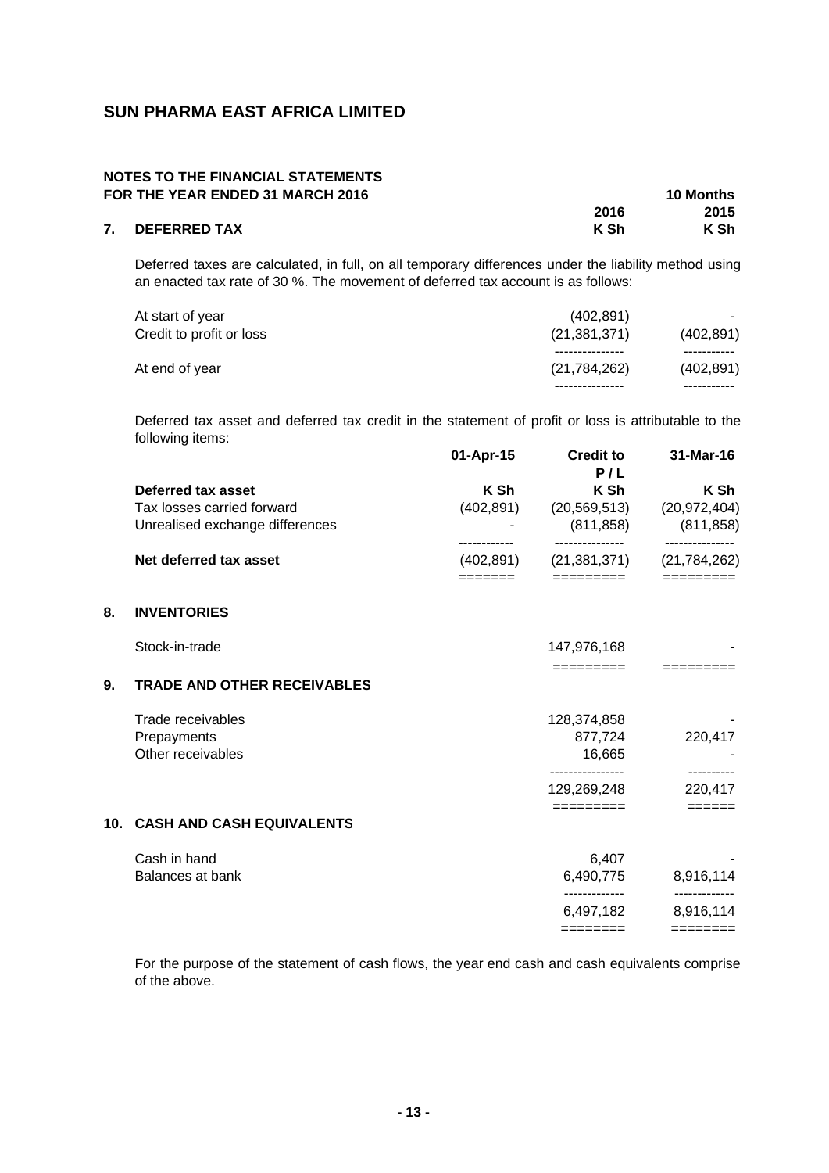## **NOTES TO THE FINANCIAL STATEMENTS FOR THE YEAR ENDED 31 MARCH 2016 10 Months**

| <b>FUR THE TEAR ENDED 31 MARGH 2010</b> |      | TU MUNITIS |
|-----------------------------------------|------|------------|
|                                         | 2016 | 2015       |
| 7. DEFERRED TAX                         | K Sh | K Sh       |

Deferred taxes are calculated, in full, on all temporary differences under the liability method using an enacted tax rate of 30 %. The movement of deferred tax account is as follows:

| At end of year           | (21, 784, 262) | (402, 891) |
|--------------------------|----------------|------------|
|                          | . <b>.</b> .   |            |
| Credit to profit or loss | (21, 381, 371) | (402, 891) |
| At start of year         | (402.891)      |            |
|                          |                |            |

Deferred tax asset and deferred tax credit in the statement of profit or loss is attributable to the following items:

|                                          | 01-Apr-15  | <b>Credit to</b><br>P/L         | 31-Mar-16                 |
|------------------------------------------|------------|---------------------------------|---------------------------|
| Deferred tax asset                       | K Sh       | K Sh                            | K Sh                      |
| Tax losses carried forward               | (402, 891) | (20, 569, 513)                  | (20, 972, 404)            |
| Unrealised exchange differences          |            | (811, 858)                      | (811, 858)<br>            |
| Net deferred tax asset                   | (402, 891) | (21, 381, 371)                  | (21, 784, 262)            |
|                                          | =======    | =========                       | $=$ ========              |
| 8.<br><b>INVENTORIES</b>                 |            |                                 |                           |
| Stock-in-trade                           |            | 147,976,168                     |                           |
| 9.<br><b>TRADE AND OTHER RECEIVABLES</b> |            | =========                       |                           |
| Trade receivables                        |            | 128,374,858                     |                           |
| Prepayments                              |            | 877,724                         | 220,417                   |
| Other receivables                        |            | 16,665                          |                           |
|                                          |            | ----------------<br>129,269,248 | ----------<br>220,417     |
|                                          |            | =========                       | $=$ $=$ $=$ $=$ $=$ $=$   |
| 10. CASH AND CASH EQUIVALENTS            |            |                                 |                           |
| Cash in hand                             |            | 6,407                           |                           |
| Balances at bank                         |            | 6,490,775                       | 8,916,114                 |
|                                          |            | .<br>6,497,182                  | ------------<br>8,916,114 |
|                                          |            |                                 | $=$ =======               |

For the purpose of the statement of cash flows, the year end cash and cash equivalents comprise of the above.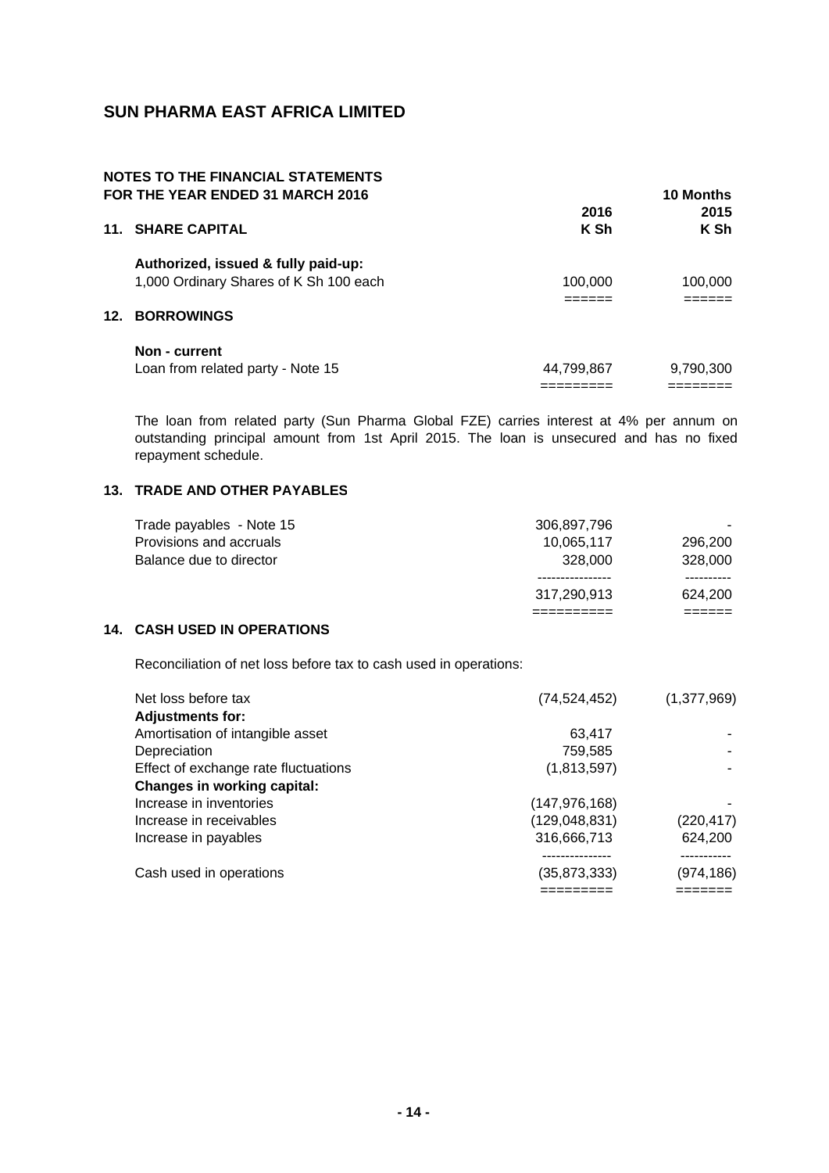#### **NOTES TO THE FINANCIAL STATEMENTS FOR THE YEAR ENDED 31 MARCH 2016 10 Months**

|                                        |                                      | בווווטויט טו |
|----------------------------------------|--------------------------------------|--------------|
|                                        | 2016                                 | 2015         |
| <b>11. SHARE CAPITAL</b>               | K Sh                                 | K Sh         |
| Authorized, issued & fully paid-up:    |                                      |              |
| 1,000 Ordinary Shares of K Sh 100 each | 100,000                              | 100,000      |
|                                        |                                      |              |
| 12. BORROWINGS                         |                                      |              |
| Non - current                          |                                      |              |
| Loan from related party - Note 15      | 44,799,867                           | 9,790,300    |
|                                        |                                      |              |
|                                        | י טו זווב ובחוז במטבס טו וווחסו בטוט |              |

The loan from related party (Sun Pharma Global FZE) carries interest at 4% per annum on outstanding principal amount from 1st April 2015. The loan is unsecured and has no fixed repayment schedule.

## **13. TRADE AND OTHER PAYABLES**

|                          | 317.290.913 | 624.200 |
|--------------------------|-------------|---------|
|                          |             |         |
| Balance due to director  | 328,000     | 328,000 |
| Provisions and accruals  | 10.065.117  | 296.200 |
| Trade payables - Note 15 | 306.897.796 |         |

## **14. CASH USED IN OPERATIONS**

Reconciliation of net loss before tax to cash used in operations:

| Net loss before tax                  | (74, 524, 452)  | (1,377,969) |
|--------------------------------------|-----------------|-------------|
| <b>Adjustments for:</b>              |                 |             |
| Amortisation of intangible asset     | 63,417          |             |
| Depreciation                         | 759,585         |             |
| Effect of exchange rate fluctuations | (1,813,597)     |             |
| <b>Changes in working capital:</b>   |                 |             |
| Increase in inventories              | (147, 976, 168) |             |
| Increase in receivables              | (129, 048, 831) | (220, 417)  |
| Increase in payables                 | 316,666,713     | 624,200     |
|                                      |                 |             |
| Cash used in operations              | (35,873,333)    | (974, 186)  |
|                                      |                 |             |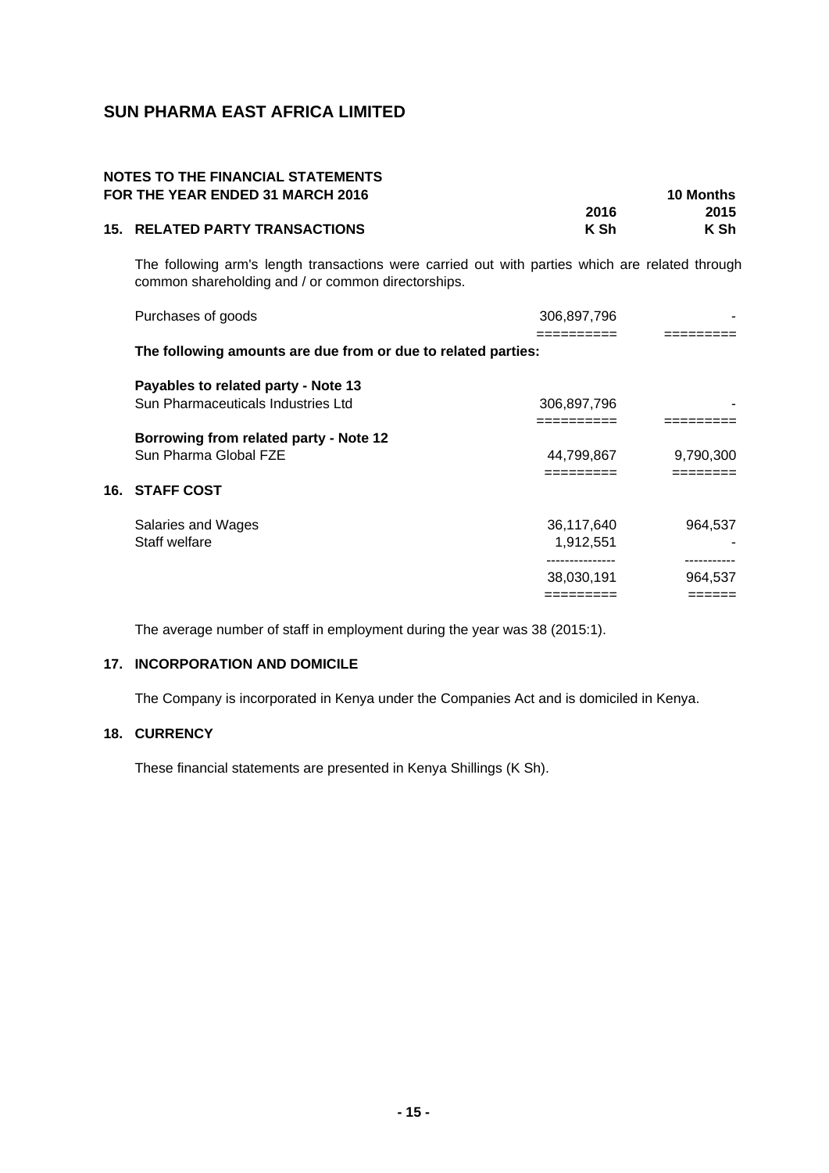# **NOTES TO THE FINANCIAL STATEMENTS FOR THE YEAR ENDED 31 MARCH 2016 10 Months**

| I VI\ IIIL I LAI\ LIVLLD VI MAI\VII LVIV |      | טווועווט עו |
|------------------------------------------|------|-------------|
|                                          | 2016 | 2015        |
| <b>15. RELATED PARTY TRANSACTIONS</b>    | K Sh | K Sh        |

The following arm's length transactions were carried out with parties which are related through common shareholding and / or common directorships.

| Purchases of goods                                            | 306.897.796     |            |
|---------------------------------------------------------------|-----------------|------------|
|                                                               |                 | ======     |
| The following amounts are due from or due to related parties: |                 |            |
| Payables to related party - Note 13                           |                 |            |
| Sun Pharmaceuticals Industries Ltd                            | 306,897,796     |            |
|                                                               |                 |            |
| Borrowing from related party - Note 12                        |                 |            |
| Sun Pharma Global FZE                                         | 44,799,867      | 9,790,300  |
|                                                               | =========       | ========   |
| <b>16. STAFF COST</b>                                         |                 |            |
| Salaries and Wages                                            | 36,117,640      | 964,537    |
| Staff welfare                                                 | 1,912,551       |            |
|                                                               | --------------- | ---------- |
|                                                               | 38,030,191      | 964,537    |
|                                                               | :========       | ======     |

The average number of staff in employment during the year was 38 (2015:1).

# **17. INCORPORATION AND DOMICILE**

The Company is incorporated in Kenya under the Companies Act and is domiciled in Kenya.

## **18. CURRENCY**

These financial statements are presented in Kenya Shillings (K Sh).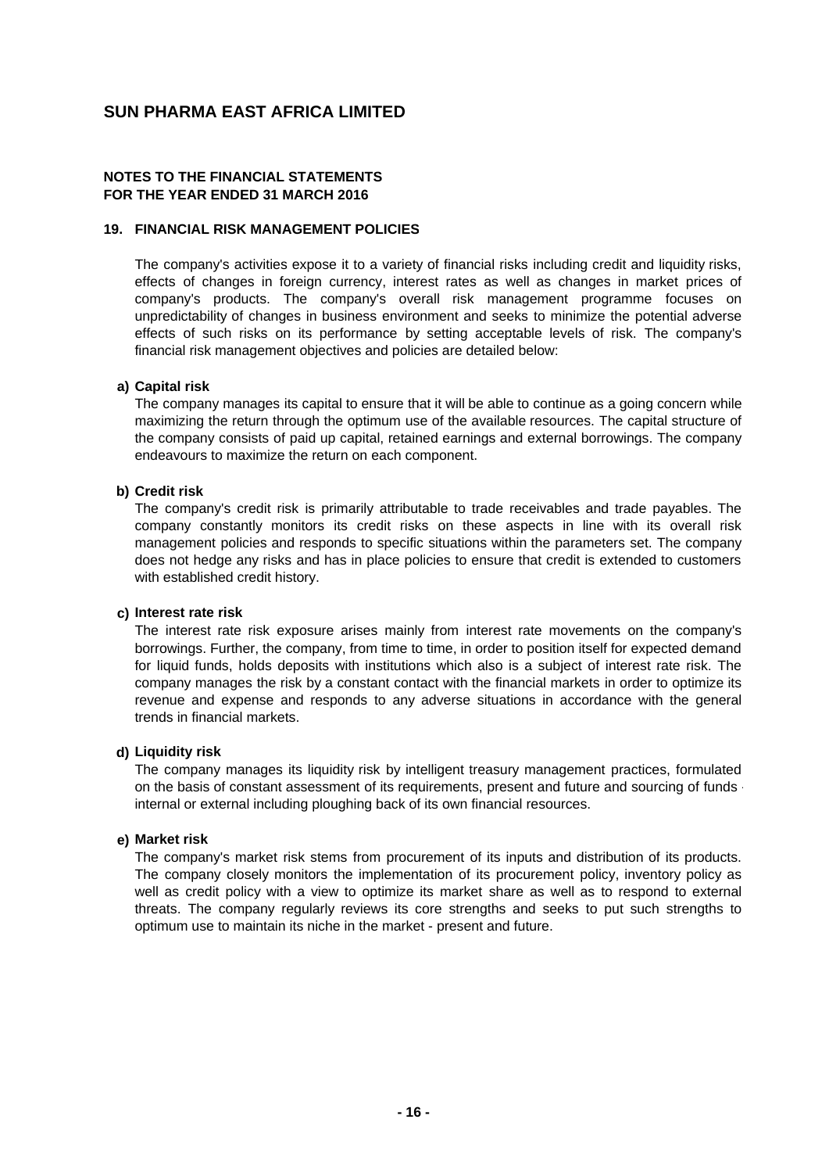## **NOTES TO THE FINANCIAL STATEMENTS FOR THE YEAR ENDED 31 MARCH 2016**

#### **19. FINANCIAL RISK MANAGEMENT POLICIES**

The company's activities expose it to a variety of financial risks including credit and liquidity risks, effects of changes in foreign currency, interest rates as well as changes in market prices of company's products. The company's overall risk management programme focuses on unpredictability of changes in business environment and seeks to minimize the potential adverse effects of such risks on its performance by setting acceptable levels of risk. The company's financial risk management objectives and policies are detailed below:

#### **a) Capital risk**

The company manages its capital to ensure that it will be able to continue as a going concern while maximizing the return through the optimum use of the available resources. The capital structure of the company consists of paid up capital, retained earnings and external borrowings. The company endeavours to maximize the return on each component.

#### **b) Credit risk**

The company's credit risk is primarily attributable to trade receivables and trade payables. The company constantly monitors its credit risks on these aspects in line with its overall risk management policies and responds to specific situations within the parameters set. The company does not hedge any risks and has in place policies to ensure that credit is extended to customers with established credit history.

#### **c) Interest rate risk**

The interest rate risk exposure arises mainly from interest rate movements on the company's borrowings. Further, the company, from time to time, in order to position itself for expected demand for liquid funds, holds deposits with institutions which also is a subject of interest rate risk. The company manages the risk by a constant contact with the financial markets in order to optimize its revenue and expense and responds to any adverse situations in accordance with the general trends in financial markets.

#### **d) Liquidity risk**

The company manages its liquidity risk by intelligent treasury management practices, formulated on the basis of constant assessment of its requirements, present and future and sourcing of funds internal or external including ploughing back of its own financial resources.

#### **e) Market risk**

The company's market risk stems from procurement of its inputs and distribution of its products. The company closely monitors the implementation of its procurement policy, inventory policy as well as credit policy with a view to optimize its market share as well as to respond to external threats. The company regularly reviews its core strengths and seeks to put such strengths to optimum use to maintain its niche in the market - present and future.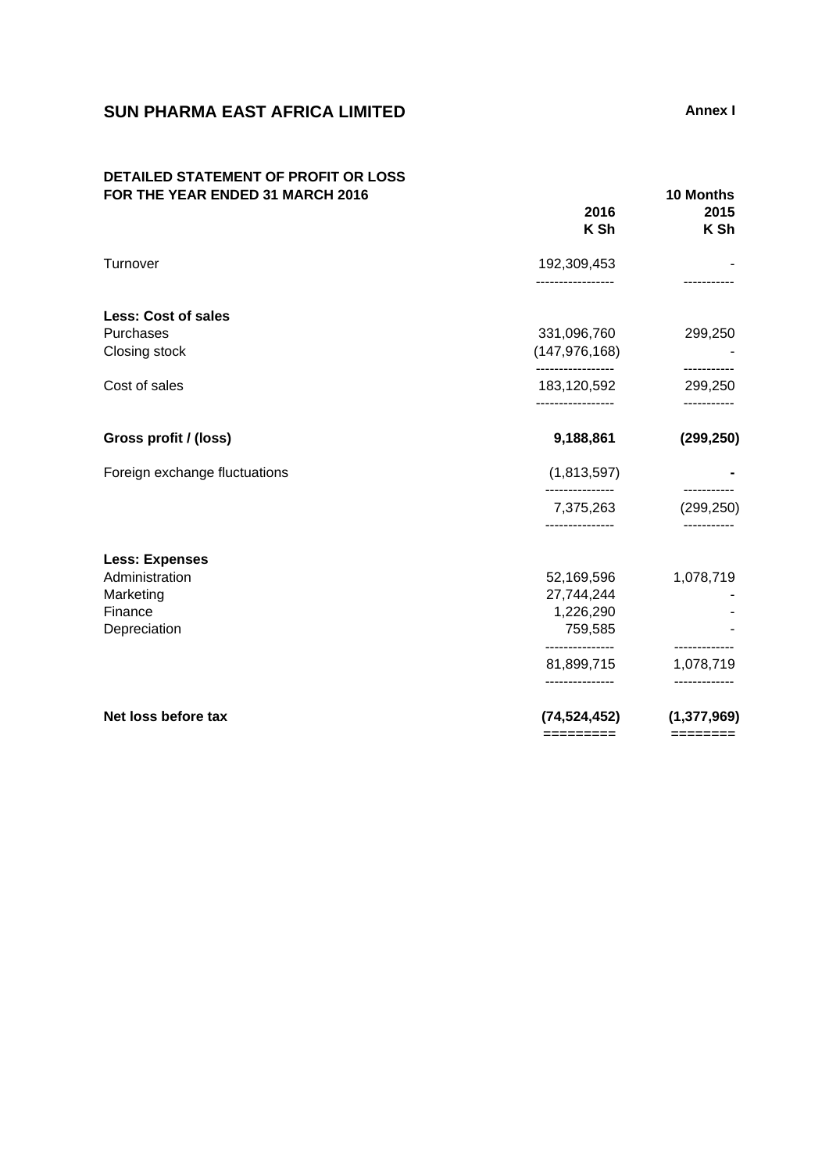# **SUN PHARMA EAST AFRICA LIMITED Annex I**

## **DETAILED STATEMENT OF PROFIT OR LOSS FOR THE YEAR ENDED 31 MARCH 2016 10 Months**

|                                                        | 2016<br>K Sh                                     | 2015<br>K Sh                 |
|--------------------------------------------------------|--------------------------------------------------|------------------------------|
| Turnover                                               | 192,309,453<br>----------------                  |                              |
| <b>Less: Cost of sales</b>                             |                                                  |                              |
| Purchases<br>Closing stock                             | 331,096,760<br>(147, 976, 168)                   | 299,250                      |
| Cost of sales                                          | -----------------<br>183,120,592                 | -----------<br>299,250       |
| Gross profit / (loss)                                  | 9,188,861                                        | (299, 250)                   |
| Foreign exchange fluctuations                          | (1,813,597)                                      | -----------                  |
|                                                        | 7,375,263<br>---------------                     | (299, 250)                   |
| <b>Less: Expenses</b>                                  |                                                  |                              |
| Administration<br>Marketing<br>Finance<br>Depreciation | 52,169,596<br>27,744,244<br>1,226,290<br>759,585 | 1,078,719                    |
|                                                        | ---------------<br>81,899,715<br>--------------- | -----------<br>1,078,719     |
| Net loss before tax                                    | (74, 524, 452)<br>=========                      | (1, 377, 969)<br>$=$ ======= |